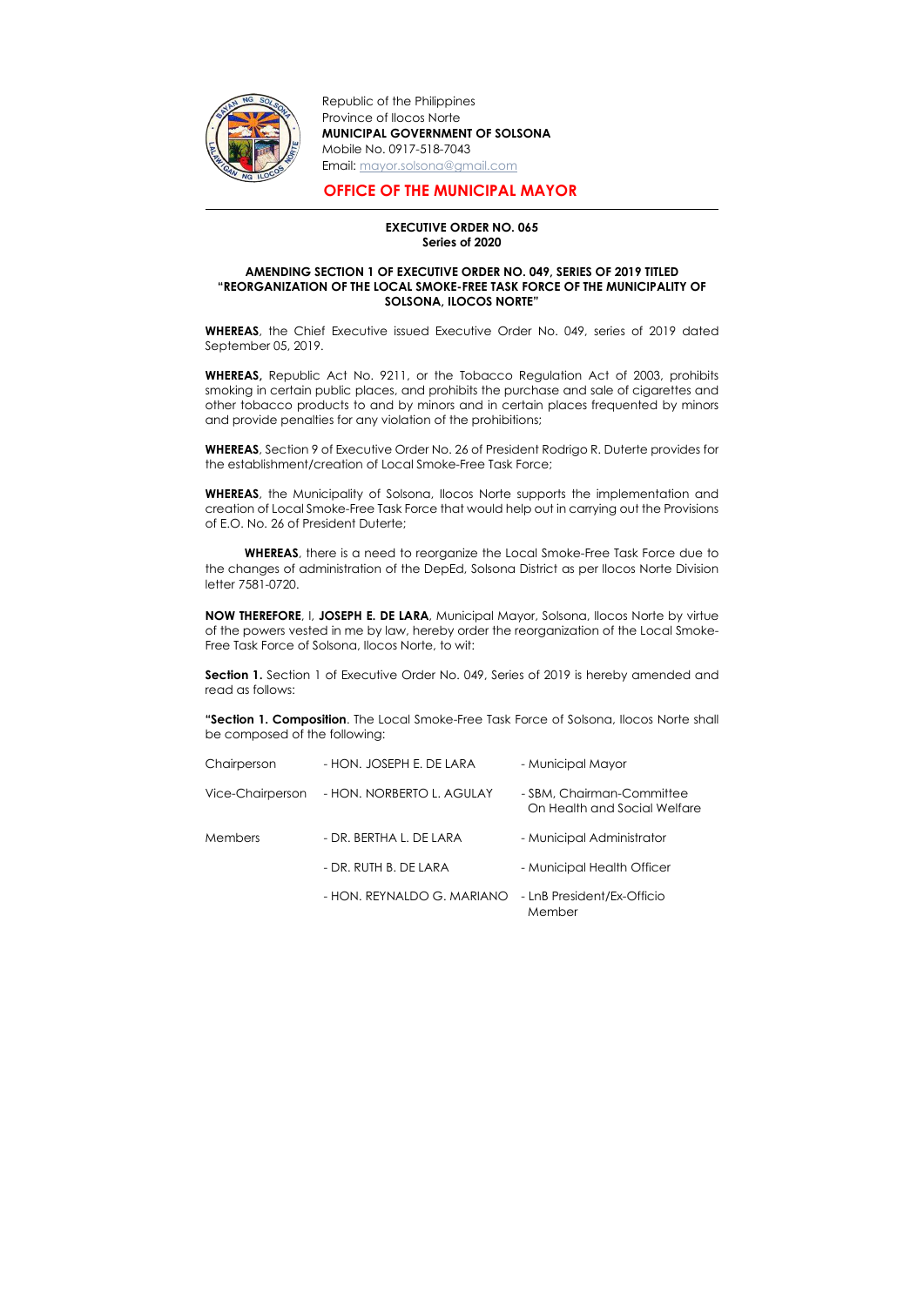

-

Republic of the Philippines Province of Ilocos Norte MUNICIPAL GOVERNMENT OF SOLSONA Mobile No. 0917-518-7043 Email: mayor.solsona@gmail.com

## OFFICE OF THE MUNICIPAL MAYOR

## EXECUTIVE ORDER NO. 065 Series of 2020

## AMENDING SECTION 1 OF EXECUTIVE ORDER NO. 049, SERIES OF 2019 TITLED "REORGANIZATION OF THE LOCAL SMOKE-FREE TASK FORCE OF THE MUNICIPALITY OF SOLSONA, ILOCOS NORTE"

WHEREAS, the Chief Executive issued Executive Order No. 049, series of 2019 dated September 05, 2019.

WHEREAS, the Municipality of Solsona, Ilocos Norte supports the implementation and creation of Local Smoke-Free Task Force that would help out in carrying out the Provisions of E.O. No. 26 of President Duterte;

WHEREAS, Republic Act No. 9211, or the Tobacco Regulation Act of 2003, prohibits smoking in certain public places, and prohibits the purchase and sale of cigarettes and other tobacco products to and by minors and in certain places frequented by minors and provide penalties for any violation of the prohibitions;

WHEREAS, there is a need to reorganize the Local Smoke-Free Task Force due to the changes of administration of the DepEd, Solsona District as per Ilocos Norte Division letter 7581-0720.

Section 1. Section 1 of Executive Order No. 049, Series of 2019 is hereby amended and read as follows:

WHEREAS, Section 9 of Executive Order No. 26 of President Rodrigo R. Duterte provides for the establishment/creation of Local Smoke-Free Task Force;

"Section 1. Composition. The Local Smoke-Free Task Force of Solsona, Ilocos Norte shall be composed of the following:

NOW THEREFORE, I, JOSEPH E. DE LARA, Municipal Mayor, Solsona, Ilocos Norte by virtue of the powers vested in me by law, hereby order the reorganization of the Local Smoke-Free Task Force of Solsona, Ilocos Norte, to wit:

| Chairperson      | - HON. JOSEPH E. DE LARA   | - Municipal Mayor                                         |
|------------------|----------------------------|-----------------------------------------------------------|
| Vice-Chairperson | - HON. NORBERTO L. AGULAY  | - SBM, Chairman-Committee<br>On Health and Social Welfare |
| <b>Members</b>   | - DR. BERTHA L. DE LARA    | - Municipal Administrator                                 |
|                  | - DR. RUTH B. DE LARA      | - Municipal Health Officer                                |
|                  | - HON. REYNALDO G. MARIANO | - LnB President/Ex-Officio<br>Member                      |